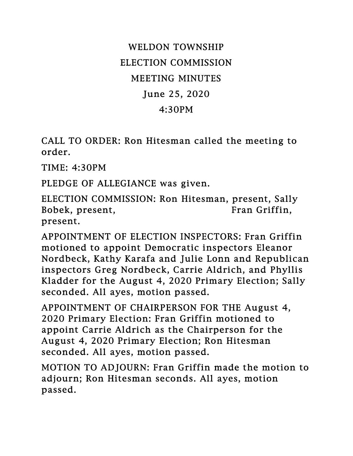## WELDON TOWNSHIP ELECTION COMMISSION MEETING MINUTES June 25, 2020 4:30PM

CALL TO ORDER: Ron Hitesman called the meeting to order.

TIME: 4:30PM

PLEDGE OF ALLEGIANCE was given.

ELECTION COMMISSION: Ron Hitesman, present, Sally Bobek, present, Fran Griffin, present.

APPOINTMENT OF ELECTION INSPECTORS: Fran Griffin motioned to appoint Democratic inspectors Eleanor Nordbeck, Kathy Karafa and Julie Lonn and Republican inspectors Greg Nordbeck, Carrie Aldrich, and Phyllis Kladder for the August 4, 2020 Primary Election; Sally seconded. All ayes, motion passed.

APPOINTMENT OF CHAIRPERSON FOR THE August 4, 2020 Primary Election: Fran Griffin motioned to appoint Carrie Aldrich as the Chairperson for the August 4, 2020 Primary Election; Ron Hitesman seconded. All ayes, motion passed.

MOTION TO ADJOURN: Fran Griffin made the motion to adjourn; Ron Hitesman seconds. All ayes, motion passed.